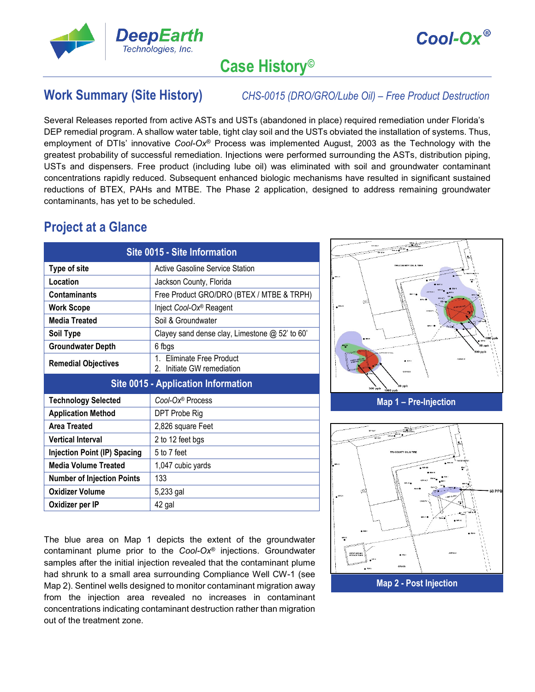



# **Case History©**

**Work Summary (Site History)** *CHS-0015 (DRO/GRO/Lube Oil) – Free Product Destruction*

Several Releases reported from active ASTs and USTs (abandoned in place) required remediation under Florida's DEP remedial program. A shallow water table, tight clay soil and the USTs obviated the installation of systems. Thus, employment of DTIs' innovative *Cool-Ox*® Process was implemented August, 2003 as the Technology with the greatest probability of successful remediation. Injections were performed surrounding the ASTs, distribution piping, USTs and dispensers. Free product (including lube oil) was eliminated with soil and groundwater contaminant concentrations rapidly reduced. Subsequent enhanced biologic mechanisms have resulted in significant sustained reductions of BTEX, PAHs and MTBE. The Phase 2 application, designed to address remaining groundwater contaminants, has yet to be scheduled.

## **Project at a Glance**

| Site 0015 - Site Information               |                                                         |  |  |  |  |  |  |  |
|--------------------------------------------|---------------------------------------------------------|--|--|--|--|--|--|--|
| <b>Type of site</b>                        | Active Gasoline Service Station                         |  |  |  |  |  |  |  |
| Location                                   | Jackson County, Florida                                 |  |  |  |  |  |  |  |
| <b>Contaminants</b>                        | Free Product GRO/DRO (BTEX / MTBE & TRPH)               |  |  |  |  |  |  |  |
| <b>Work Scope</b>                          | Inject Cool-Ox <sup>®</sup> Reagent                     |  |  |  |  |  |  |  |
| <b>Media Treated</b>                       | Soil & Groundwater                                      |  |  |  |  |  |  |  |
| Soil Type                                  | Clayey sand dense clay, Limestone @ 52' to 60'          |  |  |  |  |  |  |  |
| <b>Groundwater Depth</b>                   | 6 fbgs                                                  |  |  |  |  |  |  |  |
| <b>Remedial Objectives</b>                 | 1. Eliminate Free Product<br>2. Initiate GW remediation |  |  |  |  |  |  |  |
| <b>Site 0015 - Application Information</b> |                                                         |  |  |  |  |  |  |  |
|                                            |                                                         |  |  |  |  |  |  |  |
| <b>Technology Selected</b>                 | Cool-Ox® Process                                        |  |  |  |  |  |  |  |
| <b>Application Method</b>                  | DPT Probe Rig                                           |  |  |  |  |  |  |  |
| Area Treated                               | 2,826 square Feet                                       |  |  |  |  |  |  |  |
| <b>Vertical Interval</b>                   | 2 to 12 feet bgs                                        |  |  |  |  |  |  |  |
| Injection Point (IP) Spacing               | 5 to 7 feet                                             |  |  |  |  |  |  |  |
| <b>Media Volume Treated</b>                | 1,047 cubic yards                                       |  |  |  |  |  |  |  |
| <b>Number of Injection Points</b>          | 133                                                     |  |  |  |  |  |  |  |
| <b>Oxidizer Volume</b>                     | 5,233 gal                                               |  |  |  |  |  |  |  |

The blue area on Map 1 depicts the extent of the groundwater contaminant plume prior to the *Cool-Ox*® injections. Groundwater samples after the initial injection revealed that the contaminant plume had shrunk to a small area surrounding Compliance Well CW-1 (see Map 2). Sentinel wells designed to monitor contaminant migration away from the injection area revealed no increases in contaminant concentrations indicating contaminant destruction rather than migration out of the treatment zone.



**Map 1 – Pre-Injection** 業